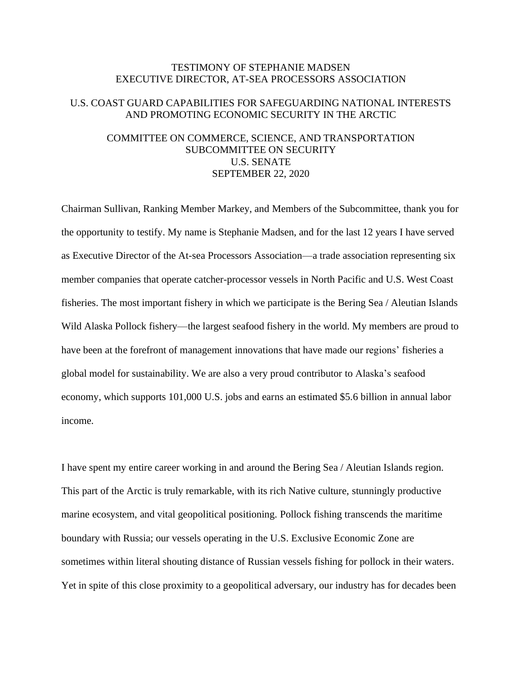## TESTIMONY OF STEPHANIE MADSEN EXECUTIVE DIRECTOR, AT-SEA PROCESSORS ASSOCIATION

# U.S. COAST GUARD CAPABILITIES FOR SAFEGUARDING NATIONAL INTERESTS AND PROMOTING ECONOMIC SECURITY IN THE ARCTIC

## COMMITTEE ON COMMERCE, SCIENCE, AND TRANSPORTATION SUBCOMMITTEE ON SECURITY U.S. SENATE SEPTEMBER 22, 2020

Chairman Sullivan, Ranking Member Markey, and Members of the Subcommittee, thank you for the opportunity to testify. My name is Stephanie Madsen, and for the last 12 years I have served as Executive Director of the At-sea Processors Association—a trade association representing six member companies that operate catcher-processor vessels in North Pacific and U.S. West Coast fisheries. The most important fishery in which we participate is the Bering Sea / Aleutian Islands Wild Alaska Pollock fishery—the largest seafood fishery in the world. My members are proud to have been at the forefront of management innovations that have made our regions' fisheries a global model for sustainability. We are also a very proud contributor to Alaska's seafood economy, which supports 101,000 U.S. jobs and earns an estimated \$5.6 billion in annual labor income.

I have spent my entire career working in and around the Bering Sea / Aleutian Islands region. This part of the Arctic is truly remarkable, with its rich Native culture, stunningly productive marine ecosystem, and vital geopolitical positioning. Pollock fishing transcends the maritime boundary with Russia; our vessels operating in the U.S. Exclusive Economic Zone are sometimes within literal shouting distance of Russian vessels fishing for pollock in their waters. Yet in spite of this close proximity to a geopolitical adversary, our industry has for decades been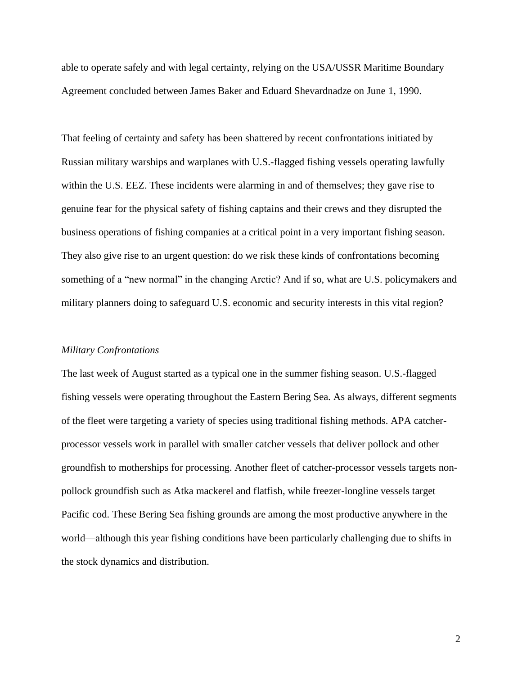able to operate safely and with legal certainty, relying on the USA/USSR Maritime Boundary Agreement concluded between James Baker and Eduard Shevardnadze on June 1, 1990.

That feeling of certainty and safety has been shattered by recent confrontations initiated by Russian military warships and warplanes with U.S.-flagged fishing vessels operating lawfully within the U.S. EEZ. These incidents were alarming in and of themselves; they gave rise to genuine fear for the physical safety of fishing captains and their crews and they disrupted the business operations of fishing companies at a critical point in a very important fishing season. They also give rise to an urgent question: do we risk these kinds of confrontations becoming something of a "new normal" in the changing Arctic? And if so, what are U.S. policymakers and military planners doing to safeguard U.S. economic and security interests in this vital region?

#### *Military Confrontations*

The last week of August started as a typical one in the summer fishing season. U.S.-flagged fishing vessels were operating throughout the Eastern Bering Sea. As always, different segments of the fleet were targeting a variety of species using traditional fishing methods. APA catcherprocessor vessels work in parallel with smaller catcher vessels that deliver pollock and other groundfish to motherships for processing. Another fleet of catcher-processor vessels targets nonpollock groundfish such as Atka mackerel and flatfish, while freezer-longline vessels target Pacific cod. These Bering Sea fishing grounds are among the most productive anywhere in the world—although this year fishing conditions have been particularly challenging due to shifts in the stock dynamics and distribution.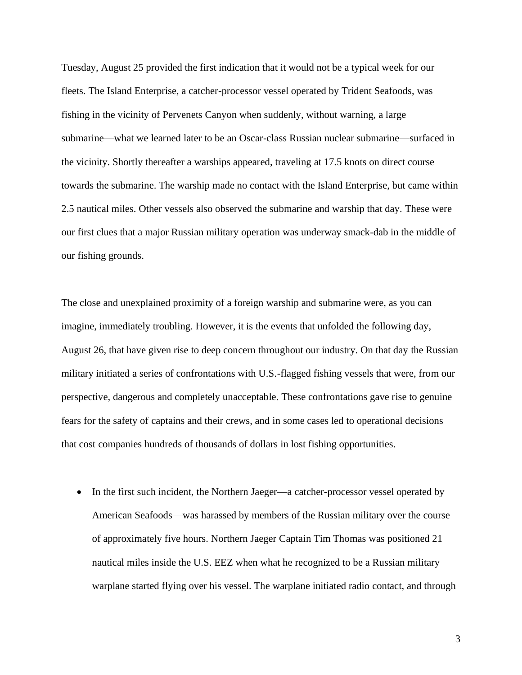Tuesday, August 25 provided the first indication that it would not be a typical week for our fleets. The Island Enterprise, a catcher-processor vessel operated by Trident Seafoods, was fishing in the vicinity of Pervenets Canyon when suddenly, without warning, a large submarine—what we learned later to be an Oscar-class Russian nuclear submarine—surfaced in the vicinity. Shortly thereafter a warships appeared, traveling at 17.5 knots on direct course towards the submarine. The warship made no contact with the Island Enterprise, but came within 2.5 nautical miles. Other vessels also observed the submarine and warship that day. These were our first clues that a major Russian military operation was underway smack-dab in the middle of our fishing grounds.

The close and unexplained proximity of a foreign warship and submarine were, as you can imagine, immediately troubling. However, it is the events that unfolded the following day, August 26, that have given rise to deep concern throughout our industry. On that day the Russian military initiated a series of confrontations with U.S.-flagged fishing vessels that were, from our perspective, dangerous and completely unacceptable. These confrontations gave rise to genuine fears for the safety of captains and their crews, and in some cases led to operational decisions that cost companies hundreds of thousands of dollars in lost fishing opportunities.

• In the first such incident, the Northern Jaeger—a catcher-processor vessel operated by American Seafoods—was harassed by members of the Russian military over the course of approximately five hours. Northern Jaeger Captain Tim Thomas was positioned 21 nautical miles inside the U.S. EEZ when what he recognized to be a Russian military warplane started flying over his vessel. The warplane initiated radio contact, and through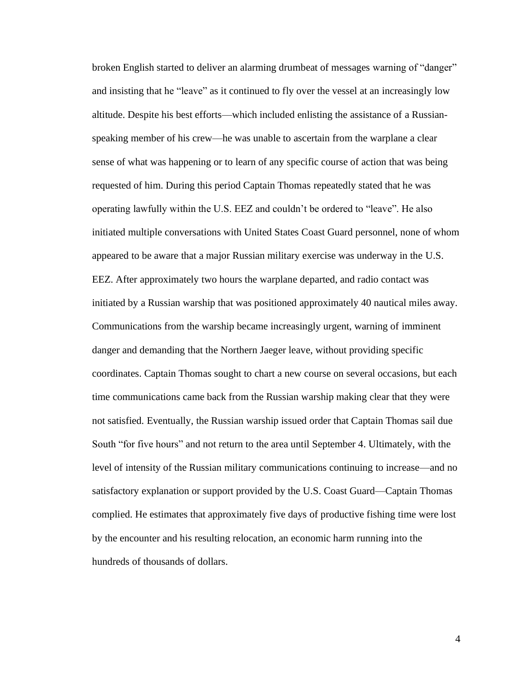broken English started to deliver an alarming drumbeat of messages warning of "danger" and insisting that he "leave" as it continued to fly over the vessel at an increasingly low altitude. Despite his best efforts—which included enlisting the assistance of a Russianspeaking member of his crew—he was unable to ascertain from the warplane a clear sense of what was happening or to learn of any specific course of action that was being requested of him. During this period Captain Thomas repeatedly stated that he was operating lawfully within the U.S. EEZ and couldn't be ordered to "leave". He also initiated multiple conversations with United States Coast Guard personnel, none of whom appeared to be aware that a major Russian military exercise was underway in the U.S. EEZ. After approximately two hours the warplane departed, and radio contact was initiated by a Russian warship that was positioned approximately 40 nautical miles away. Communications from the warship became increasingly urgent, warning of imminent danger and demanding that the Northern Jaeger leave, without providing specific coordinates. Captain Thomas sought to chart a new course on several occasions, but each time communications came back from the Russian warship making clear that they were not satisfied. Eventually, the Russian warship issued order that Captain Thomas sail due South "for five hours" and not return to the area until September 4. Ultimately, with the level of intensity of the Russian military communications continuing to increase—and no satisfactory explanation or support provided by the U.S. Coast Guard—Captain Thomas complied. He estimates that approximately five days of productive fishing time were lost by the encounter and his resulting relocation, an economic harm running into the hundreds of thousands of dollars.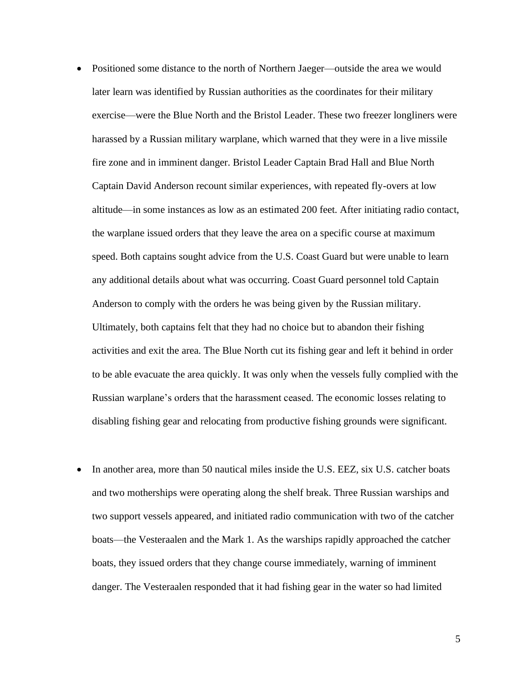- Positioned some distance to the north of Northern Jaeger—outside the area we would later learn was identified by Russian authorities as the coordinates for their military exercise—were the Blue North and the Bristol Leader. These two freezer longliners were harassed by a Russian military warplane, which warned that they were in a live missile fire zone and in imminent danger. Bristol Leader Captain Brad Hall and Blue North Captain David Anderson recount similar experiences, with repeated fly-overs at low altitude—in some instances as low as an estimated 200 feet. After initiating radio contact, the warplane issued orders that they leave the area on a specific course at maximum speed. Both captains sought advice from the U.S. Coast Guard but were unable to learn any additional details about what was occurring. Coast Guard personnel told Captain Anderson to comply with the orders he was being given by the Russian military. Ultimately, both captains felt that they had no choice but to abandon their fishing activities and exit the area. The Blue North cut its fishing gear and left it behind in order to be able evacuate the area quickly. It was only when the vessels fully complied with the Russian warplane's orders that the harassment ceased. The economic losses relating to disabling fishing gear and relocating from productive fishing grounds were significant.
- In another area, more than 50 nautical miles inside the U.S. EEZ, six U.S. catcher boats and two motherships were operating along the shelf break. Three Russian warships and two support vessels appeared, and initiated radio communication with two of the catcher boats—the Vesteraalen and the Mark 1. As the warships rapidly approached the catcher boats, they issued orders that they change course immediately, warning of imminent danger. The Vesteraalen responded that it had fishing gear in the water so had limited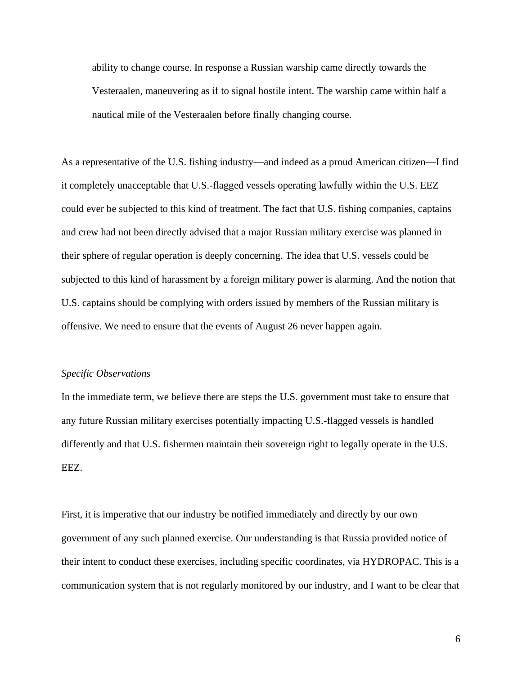ability to change course. In response a Russian warship came directly towards the Vesteraalen, maneuvering as if to signal hostile intent. The warship came within half a nautical mile of the Vesteraalen before finally changing course.

As a representative of the U.S. fishing industry—and indeed as a proud American citizen—I find it completely unacceptable that U.S.-flagged vessels operating lawfully within the U.S. EEZ could ever be subjected to this kind of treatment. The fact that U.S. fishing companies, captains and crew had not been directly advised that a major Russian military exercise was planned in their sphere of regular operation is deeply concerning. The idea that U.S. vessels could be subjected to this kind of harassment by a foreign military power is alarming. And the notion that U.S. captains should be complying with orders issued by members of the Russian military is offensive. We need to ensure that the events of August 26 never happen again.

## *Specific Observations*

In the immediate term, we believe there are steps the U.S. government must take to ensure that any future Russian military exercises potentially impacting U.S.-flagged vessels is handled differently and that U.S. fishermen maintain their sovereign right to legally operate in the U.S. EEZ.

First, it is imperative that our industry be notified immediately and directly by our own government of any such planned exercise. Our understanding is that Russia provided notice of their intent to conduct these exercises, including specific coordinates, via HYDROPAC. This is a communication system that is not regularly monitored by our industry, and I want to be clear that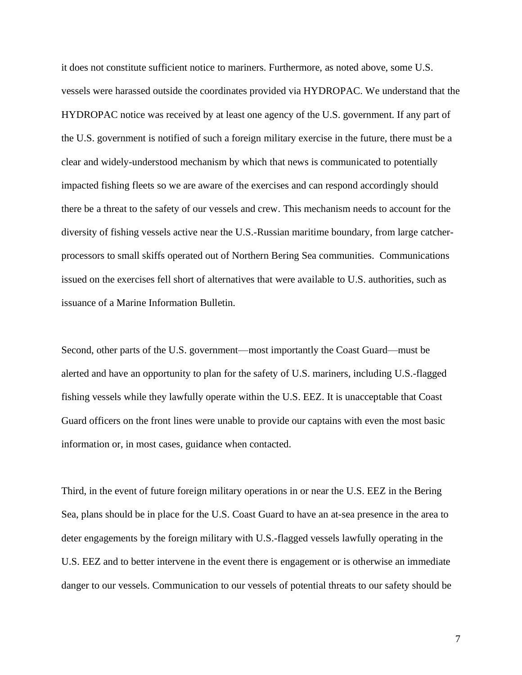it does not constitute sufficient notice to mariners. Furthermore, as noted above, some U.S. vessels were harassed outside the coordinates provided via HYDROPAC. We understand that the HYDROPAC notice was received by at least one agency of the U.S. government. If any part of the U.S. government is notified of such a foreign military exercise in the future, there must be a clear and widely-understood mechanism by which that news is communicated to potentially impacted fishing fleets so we are aware of the exercises and can respond accordingly should there be a threat to the safety of our vessels and crew. This mechanism needs to account for the diversity of fishing vessels active near the U.S.-Russian maritime boundary, from large catcherprocessors to small skiffs operated out of Northern Bering Sea communities. Communications issued on the exercises fell short of alternatives that were available to U.S. authorities, such as issuance of a Marine Information Bulletin.

Second, other parts of the U.S. government—most importantly the Coast Guard—must be alerted and have an opportunity to plan for the safety of U.S. mariners, including U.S.-flagged fishing vessels while they lawfully operate within the U.S. EEZ. It is unacceptable that Coast Guard officers on the front lines were unable to provide our captains with even the most basic information or, in most cases, guidance when contacted.

Third, in the event of future foreign military operations in or near the U.S. EEZ in the Bering Sea, plans should be in place for the U.S. Coast Guard to have an at-sea presence in the area to deter engagements by the foreign military with U.S.-flagged vessels lawfully operating in the U.S. EEZ and to better intervene in the event there is engagement or is otherwise an immediate danger to our vessels. Communication to our vessels of potential threats to our safety should be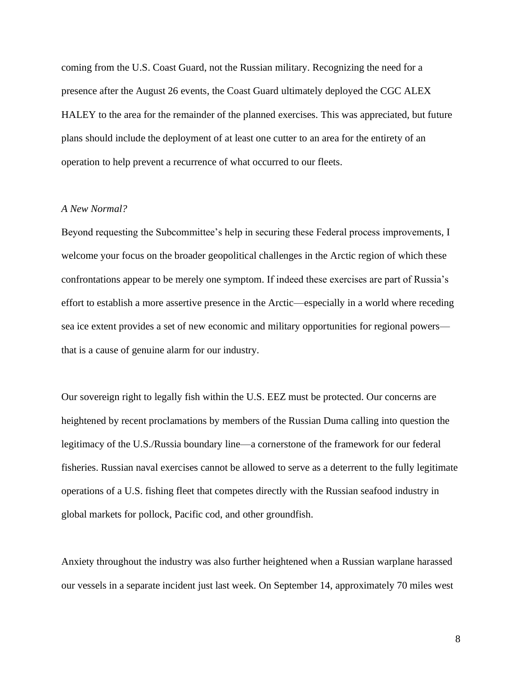coming from the U.S. Coast Guard, not the Russian military. Recognizing the need for a presence after the August 26 events, the Coast Guard ultimately deployed the CGC ALEX HALEY to the area for the remainder of the planned exercises. This was appreciated, but future plans should include the deployment of at least one cutter to an area for the entirety of an operation to help prevent a recurrence of what occurred to our fleets.

### *A New Normal?*

Beyond requesting the Subcommittee's help in securing these Federal process improvements, I welcome your focus on the broader geopolitical challenges in the Arctic region of which these confrontations appear to be merely one symptom. If indeed these exercises are part of Russia's effort to establish a more assertive presence in the Arctic—especially in a world where receding sea ice extent provides a set of new economic and military opportunities for regional powers that is a cause of genuine alarm for our industry.

Our sovereign right to legally fish within the U.S. EEZ must be protected. Our concerns are heightened by recent proclamations by members of the Russian Duma calling into question the legitimacy of the U.S./Russia boundary line—a cornerstone of the framework for our federal fisheries. Russian naval exercises cannot be allowed to serve as a deterrent to the fully legitimate operations of a U.S. fishing fleet that competes directly with the Russian seafood industry in global markets for pollock, Pacific cod, and other groundfish.

Anxiety throughout the industry was also further heightened when a Russian warplane harassed our vessels in a separate incident just last week. On September 14, approximately 70 miles west